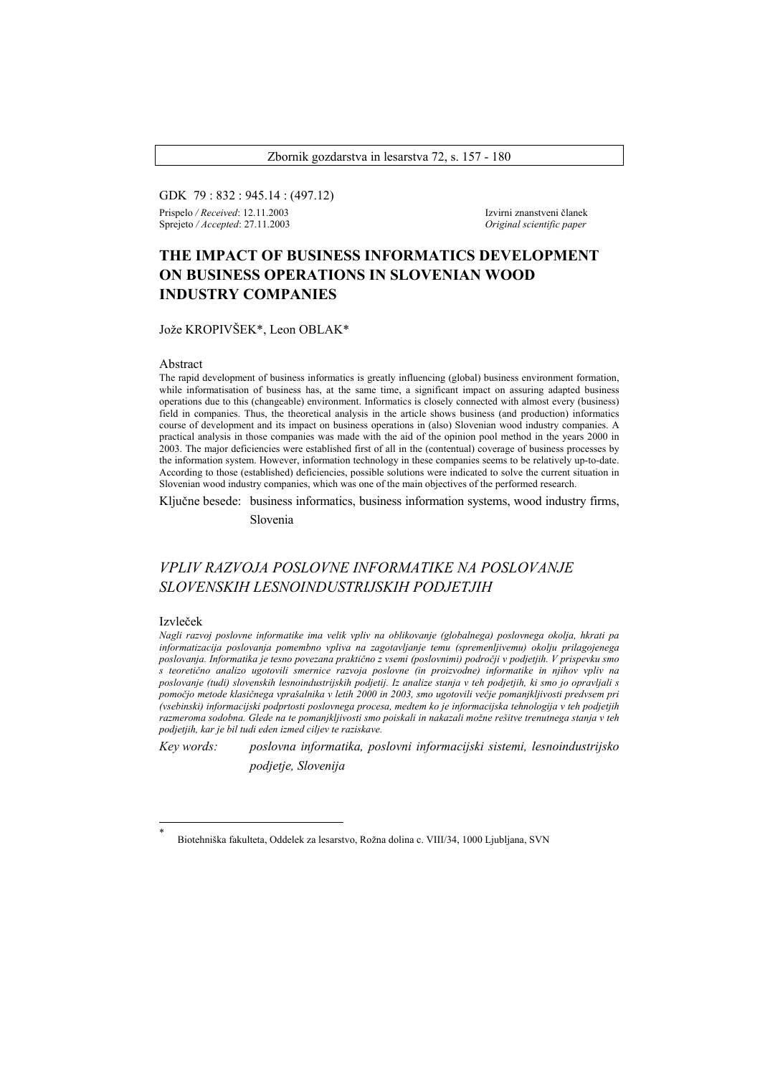Zbornik gozdarstva in lesarstva 72, s. 157 - 180

GDK 79 : 832 : 945.14 : (497.12) Prispelo */ Received*: 12.11.2003 Izvirni znanstveni članek

Sprejeto */ Accepted*: 27.11.2003 *Original scientific paper* 

# **THE IMPACT OF BUSINESS INFORMATICS DEVELOPMENT ON BUSINESS OPERATIONS IN SLOVENIAN WOOD INDUSTRY COMPANIES**

Jože KROPIVŠEK\*, Leon OBLAK\*

#### Abstract

The rapid development of business informatics is greatly influencing (global) business environment formation, while informatisation of business has, at the same time, a significant impact on assuring adapted business operations due to this (changeable) environment. Informatics is closely connected with almost every (business) field in companies. Thus, the theoretical analysis in the article shows business (and production) informatics course of development and its impact on business operations in (also) Slovenian wood industry companies. A practical analysis in those companies was made with the aid of the opinion pool method in the years 2000 in 2003. The major deficiencies were established first of all in the (contentual) coverage of business processes by the information system. However, information technology in these companies seems to be relatively up-to-date. According to those (established) deficiencies, possible solutions were indicated to solve the current situation in Slovenian wood industry companies, which was one of the main objectives of the performed research.

Ključne besede: business informatics, business information systems, wood industry firms,

Slovenia

## *VPLIV RAZVOJA POSLOVNE INFORMATIKE NA POSLOVANJE SLOVENSKIH LESNOINDUSTRIJSKIH PODJETJIH*

### Izvleček

l \*

*Nagli razvoj poslovne informatike ima velik vpliv na oblikovanje (globalnega) poslovnega okolja, hkrati pa informatizacija poslovanja pomembno vpliva na zagotavljanje temu (spremenljivemu) okolju prilagojenega poslovanja. Informatika je tesno povezana praktično z vsemi (poslovnimi) področji v podjetjih. V prispevku smo s teoretično analizo ugotovili smernice razvoja poslovne (in proizvodne) informatike in njihov vpliv na poslovanje (tudi) slovenskih lesnoindustrijskih podjetij. Iz analize stanja v teh podjetjih, ki smo jo opravljali s pomočjo metode klasičnega vprašalnika v letih 2000 in 2003, smo ugotovili večje pomanjkljivosti predvsem pri (vsebinski) informacijski podprtosti poslovnega procesa, medtem ko je informacijska tehnologija v teh podjetjih razmeroma sodobna. Glede na te pomanjkljivosti smo poiskali in nakazali možne rešitve trenutnega stanja v teh podjetjih, kar je bil tudi eden izmed ciljev te raziskave.* 

*Key words: poslovna informatika, poslovni informacijski sistemi, lesnoindustrijsko podjetje, Slovenija* 

Biotehniška fakulteta, Oddelek za lesarstvo, Rožna dolina c. VIII/34, 1000 Ljubljana, SVN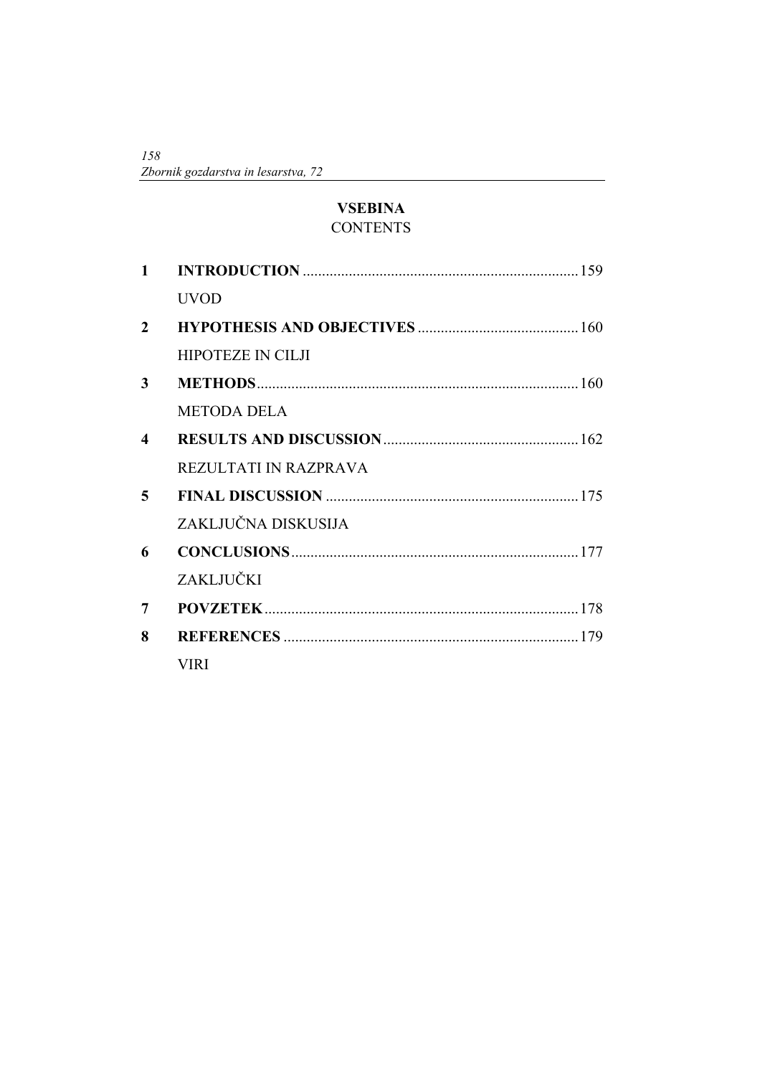*158 Zbornik gozdarstva in lesarstva, 72* 

# **VSEBINA CONTENTS**

| $\mathbf{1}$     |                          |  |
|------------------|--------------------------|--|
|                  | <b>UVOD</b>              |  |
| $\overline{2}$   |                          |  |
|                  | <b>HIPOTEZE IN CILJI</b> |  |
| 3                |                          |  |
|                  | <b>METODA DELA</b>       |  |
| $\boldsymbol{4}$ |                          |  |
|                  | REZULTATI IN RAZPRAVA    |  |
| 5                |                          |  |
|                  | ZAKLJUČNA DISKUSIJA      |  |
| 6                |                          |  |
|                  | ZAKLJUČKI                |  |
| 7                |                          |  |
| 8                |                          |  |
|                  | <b>VIRI</b>              |  |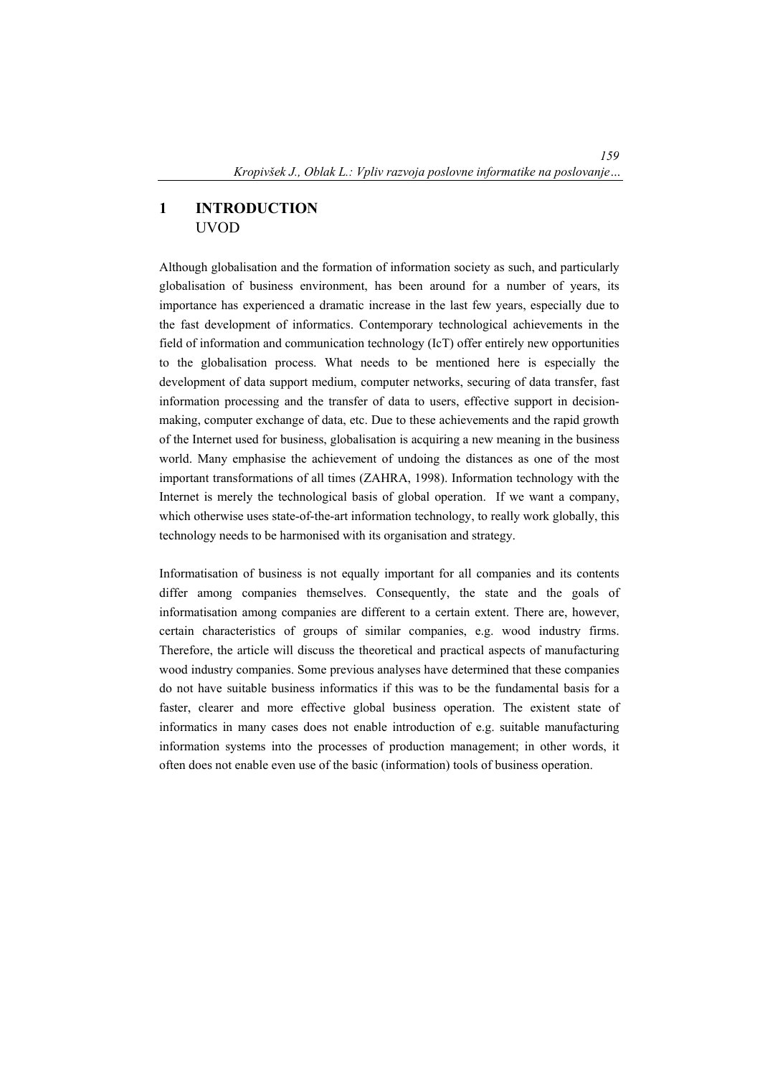# **1 INTRODUCTION**  UVOD

Although globalisation and the formation of information society as such, and particularly globalisation of business environment, has been around for a number of years, its importance has experienced a dramatic increase in the last few years, especially due to the fast development of informatics. Contemporary technological achievements in the field of information and communication technology (IcT) offer entirely new opportunities to the globalisation process. What needs to be mentioned here is especially the development of data support medium, computer networks, securing of data transfer, fast information processing and the transfer of data to users, effective support in decisionmaking, computer exchange of data, etc. Due to these achievements and the rapid growth of the Internet used for business, globalisation is acquiring a new meaning in the business world. Many emphasise the achievement of undoing the distances as one of the most important transformations of all times (ZAHRA, 1998). Information technology with the Internet is merely the technological basis of global operation. If we want a company, which otherwise uses state-of-the-art information technology, to really work globally, this technology needs to be harmonised with its organisation and strategy.

Informatisation of business is not equally important for all companies and its contents differ among companies themselves. Consequently, the state and the goals of informatisation among companies are different to a certain extent. There are, however, certain characteristics of groups of similar companies, e.g. wood industry firms. Therefore, the article will discuss the theoretical and practical aspects of manufacturing wood industry companies. Some previous analyses have determined that these companies do not have suitable business informatics if this was to be the fundamental basis for a faster, clearer and more effective global business operation. The existent state of informatics in many cases does not enable introduction of e.g. suitable manufacturing information systems into the processes of production management; in other words, it often does not enable even use of the basic (information) tools of business operation.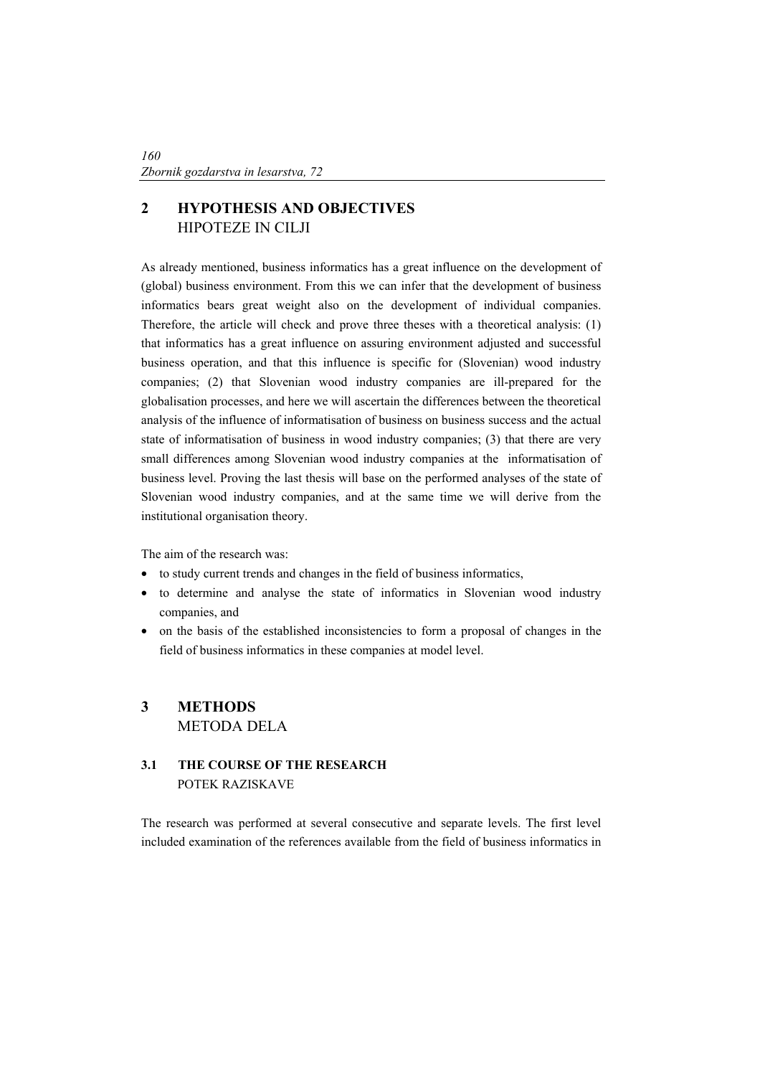# **2 HYPOTHESIS AND OBJECTIVES**  HIPOTEZE IN CILJI

As already mentioned, business informatics has a great influence on the development of (global) business environment. From this we can infer that the development of business informatics bears great weight also on the development of individual companies. Therefore, the article will check and prove three theses with a theoretical analysis: (1) that informatics has a great influence on assuring environment adjusted and successful business operation, and that this influence is specific for (Slovenian) wood industry companies; (2) that Slovenian wood industry companies are ill-prepared for the globalisation processes, and here we will ascertain the differences between the theoretical analysis of the influence of informatisation of business on business success and the actual state of informatisation of business in wood industry companies; (3) that there are very small differences among Slovenian wood industry companies at the informatisation of business level. Proving the last thesis will base on the performed analyses of the state of Slovenian wood industry companies, and at the same time we will derive from the institutional organisation theory.

The aim of the research was:

- to study current trends and changes in the field of business informatics,
- to determine and analyse the state of informatics in Slovenian wood industry companies, and
- on the basis of the established inconsistencies to form a proposal of changes in the field of business informatics in these companies at model level.

## **3 METHODS**  METODA DELA

## **3.1 THE COURSE OF THE RESEARCH**  POTEK RAZISKAVE

The research was performed at several consecutive and separate levels. The first level included examination of the references available from the field of business informatics in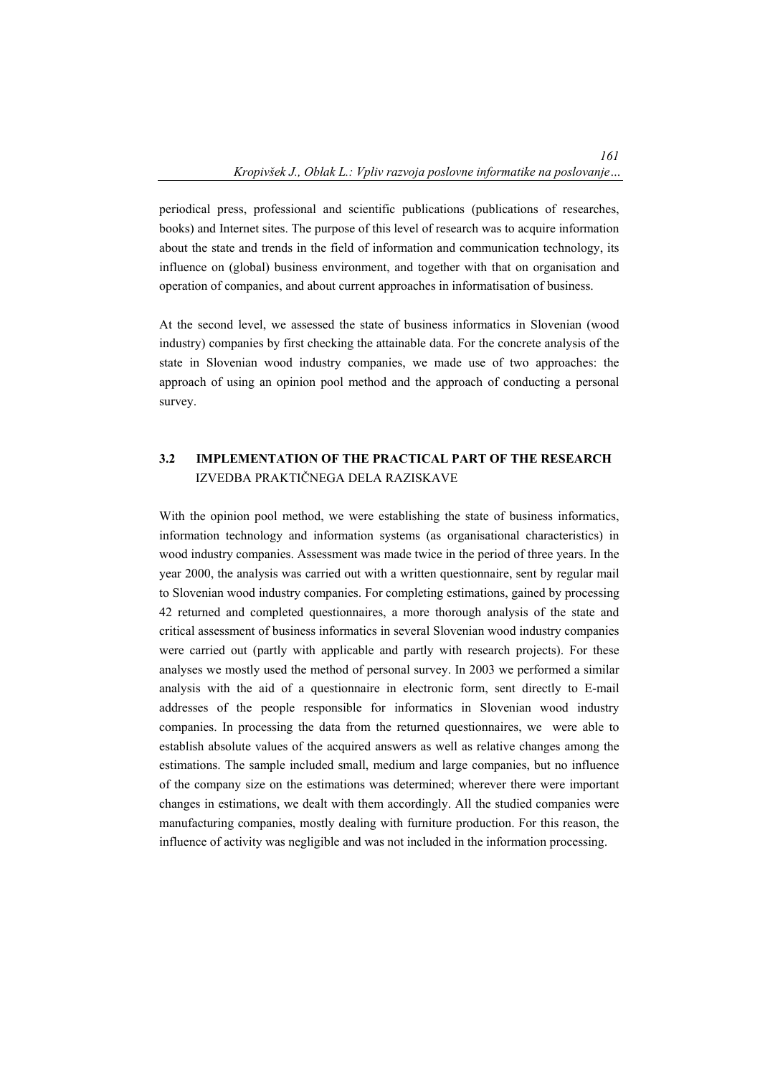periodical press, professional and scientific publications (publications of researches, books) and Internet sites. The purpose of this level of research was to acquire information about the state and trends in the field of information and communication technology, its influence on (global) business environment, and together with that on organisation and operation of companies, and about current approaches in informatisation of business.

At the second level, we assessed the state of business informatics in Slovenian (wood industry) companies by first checking the attainable data. For the concrete analysis of the state in Slovenian wood industry companies, we made use of two approaches: the approach of using an opinion pool method and the approach of conducting a personal survey.

### **3.2 IMPLEMENTATION OF THE PRACTICAL PART OF THE RESEARCH**  IZVEDBA PRAKTIČNEGA DELA RAZISKAVE

With the opinion pool method, we were establishing the state of business informatics, information technology and information systems (as organisational characteristics) in wood industry companies. Assessment was made twice in the period of three years. In the year 2000, the analysis was carried out with a written questionnaire, sent by regular mail to Slovenian wood industry companies. For completing estimations, gained by processing 42 returned and completed questionnaires, a more thorough analysis of the state and critical assessment of business informatics in several Slovenian wood industry companies were carried out (partly with applicable and partly with research projects). For these analyses we mostly used the method of personal survey. In 2003 we performed a similar analysis with the aid of a questionnaire in electronic form, sent directly to E-mail addresses of the people responsible for informatics in Slovenian wood industry companies. In processing the data from the returned questionnaires, we were able to establish absolute values of the acquired answers as well as relative changes among the estimations. The sample included small, medium and large companies, but no influence of the company size on the estimations was determined; wherever there were important changes in estimations, we dealt with them accordingly. All the studied companies were manufacturing companies, mostly dealing with furniture production. For this reason, the influence of activity was negligible and was not included in the information processing.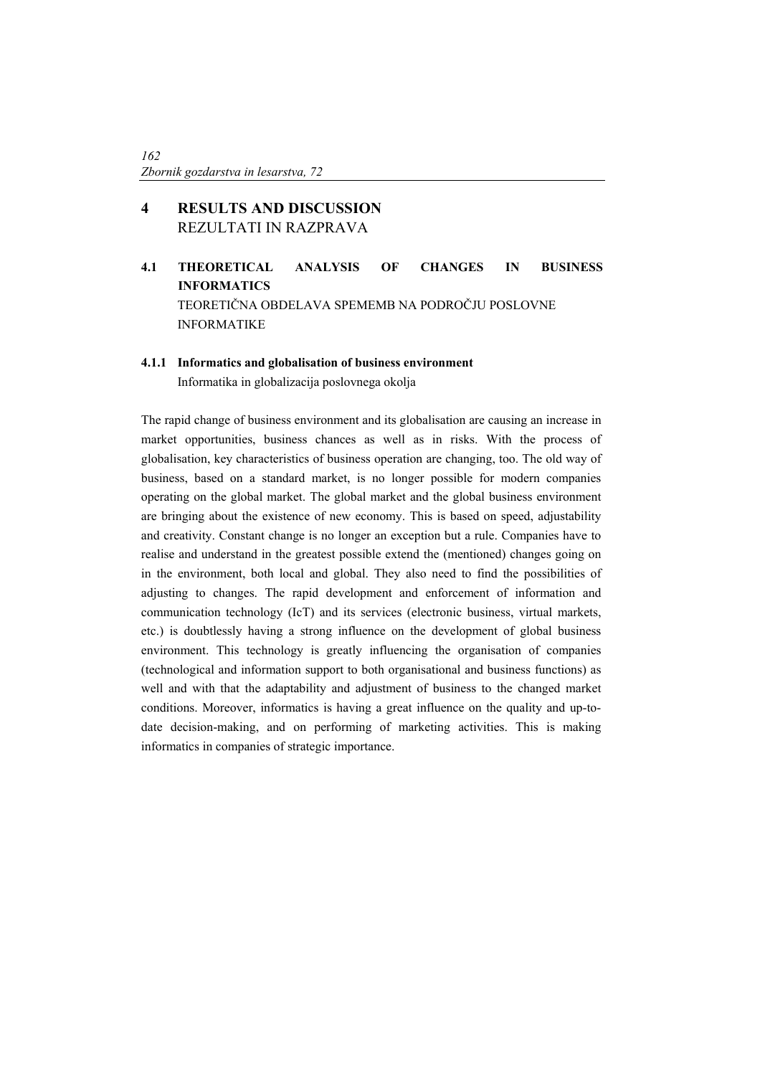# **4 RESULTS AND DISCUSSION**  REZULTATI IN RAZPRAVA

**4.1 THEORETICAL ANALYSIS OF CHANGES IN BUSINESS INFORMATICS**  TEORETIČNA OBDELAVA SPEMEMB NA PODROČJU POSLOVNE INFORMATIKE

### **4.1.1 Informatics and globalisation of business environment**

Informatika in globalizacija poslovnega okolja

The rapid change of business environment and its globalisation are causing an increase in market opportunities, business chances as well as in risks. With the process of globalisation, key characteristics of business operation are changing, too. The old way of business, based on a standard market, is no longer possible for modern companies operating on the global market. The global market and the global business environment are bringing about the existence of new economy. This is based on speed, adjustability and creativity. Constant change is no longer an exception but a rule. Companies have to realise and understand in the greatest possible extend the (mentioned) changes going on in the environment, both local and global. They also need to find the possibilities of adjusting to changes. The rapid development and enforcement of information and communication technology (IcT) and its services (electronic business, virtual markets, etc.) is doubtlessly having a strong influence on the development of global business environment. This technology is greatly influencing the organisation of companies (technological and information support to both organisational and business functions) as well and with that the adaptability and adjustment of business to the changed market conditions. Moreover, informatics is having a great influence on the quality and up-todate decision-making, and on performing of marketing activities. This is making informatics in companies of strategic importance.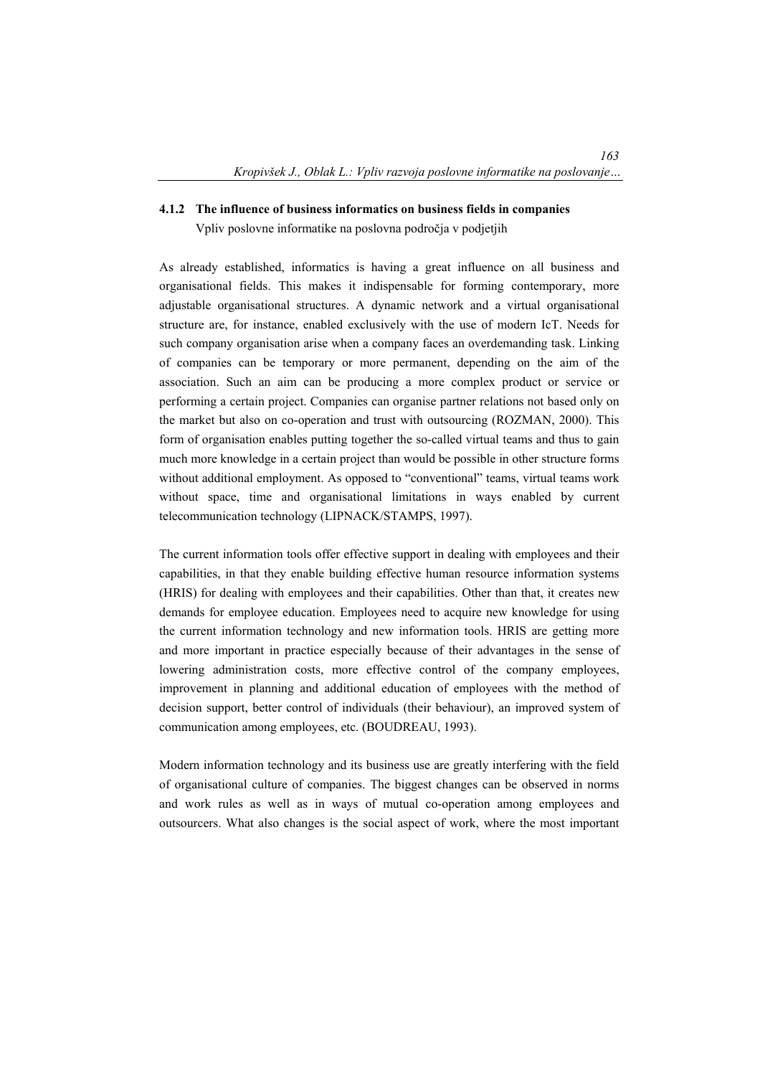#### **4.1.2 The influence of business informatics on business fields in companies**

Vpliv poslovne informatike na poslovna področja v podjetjih

As already established, informatics is having a great influence on all business and organisational fields. This makes it indispensable for forming contemporary, more adjustable organisational structures. A dynamic network and a virtual organisational structure are, for instance, enabled exclusively with the use of modern IcT. Needs for such company organisation arise when a company faces an overdemanding task. Linking of companies can be temporary or more permanent, depending on the aim of the association. Such an aim can be producing a more complex product or service or performing a certain project. Companies can organise partner relations not based only on the market but also on co-operation and trust with outsourcing (ROZMAN, 2000). This form of organisation enables putting together the so-called virtual teams and thus to gain much more knowledge in a certain project than would be possible in other structure forms without additional employment. As opposed to "conventional" teams, virtual teams work without space, time and organisational limitations in ways enabled by current telecommunication technology (LIPNACK/STAMPS, 1997).

The current information tools offer effective support in dealing with employees and their capabilities, in that they enable building effective human resource information systems (HRIS) for dealing with employees and their capabilities. Other than that, it creates new demands for employee education. Employees need to acquire new knowledge for using the current information technology and new information tools. HRIS are getting more and more important in practice especially because of their advantages in the sense of lowering administration costs, more effective control of the company employees, improvement in planning and additional education of employees with the method of decision support, better control of individuals (their behaviour), an improved system of communication among employees, etc. (BOUDREAU, 1993).

Modern information technology and its business use are greatly interfering with the field of organisational culture of companies. The biggest changes can be observed in norms and work rules as well as in ways of mutual co-operation among employees and outsourcers. What also changes is the social aspect of work, where the most important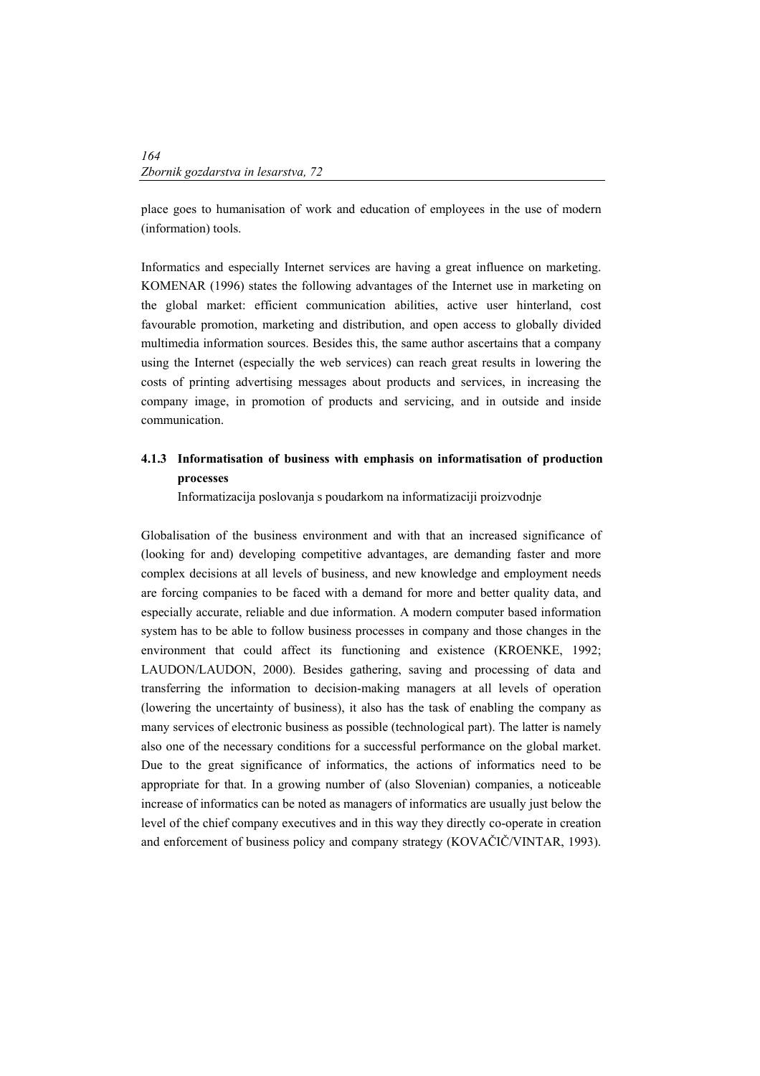place goes to humanisation of work and education of employees in the use of modern (information) tools.

Informatics and especially Internet services are having a great influence on marketing. KOMENAR (1996) states the following advantages of the Internet use in marketing on the global market: efficient communication abilities, active user hinterland, cost favourable promotion, marketing and distribution, and open access to globally divided multimedia information sources. Besides this, the same author ascertains that a company using the Internet (especially the web services) can reach great results in lowering the costs of printing advertising messages about products and services, in increasing the company image, in promotion of products and servicing, and in outside and inside communication.

### **4.1.3 Informatisation of business with emphasis on informatisation of production processes**

Informatizacija poslovanja s poudarkom na informatizaciji proizvodnje

Globalisation of the business environment and with that an increased significance of (looking for and) developing competitive advantages, are demanding faster and more complex decisions at all levels of business, and new knowledge and employment needs are forcing companies to be faced with a demand for more and better quality data, and especially accurate, reliable and due information. A modern computer based information system has to be able to follow business processes in company and those changes in the environment that could affect its functioning and existence (KROENKE, 1992; LAUDON/LAUDON, 2000). Besides gathering, saving and processing of data and transferring the information to decision-making managers at all levels of operation (lowering the uncertainty of business), it also has the task of enabling the company as many services of electronic business as possible (technological part). The latter is namely also one of the necessary conditions for a successful performance on the global market. Due to the great significance of informatics, the actions of informatics need to be appropriate for that. In a growing number of (also Slovenian) companies, a noticeable increase of informatics can be noted as managers of informatics are usually just below the level of the chief company executives and in this way they directly co-operate in creation and enforcement of business policy and company strategy (KOVAČIČ/VINTAR, 1993).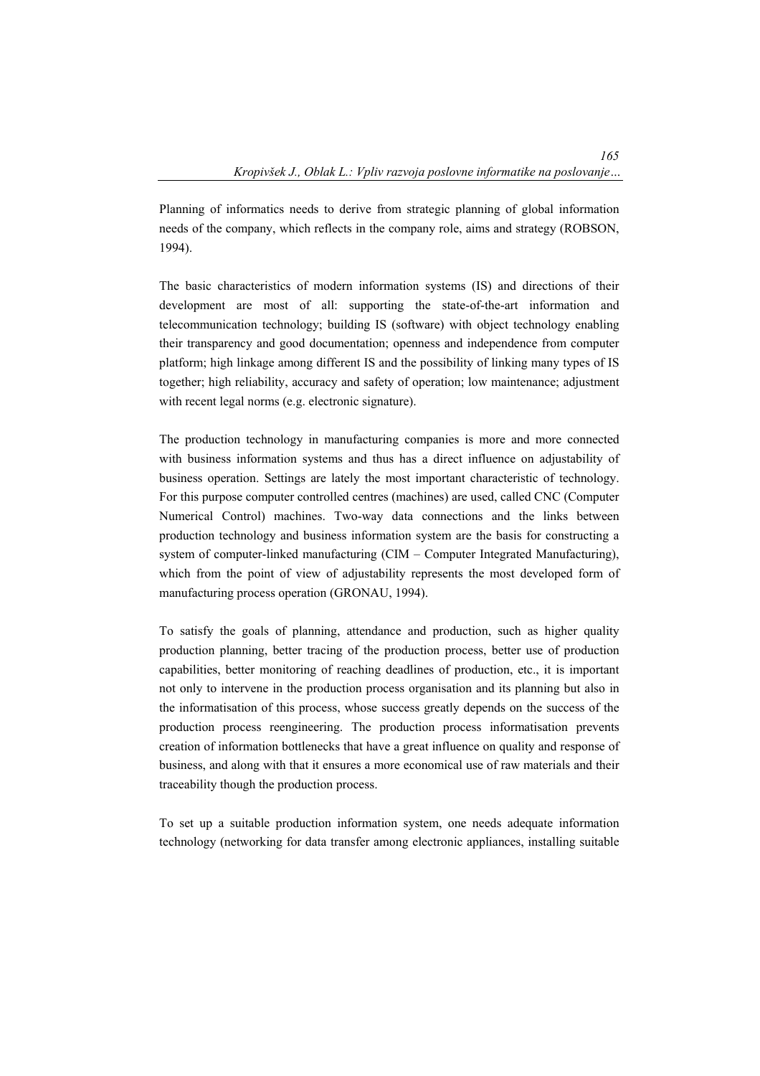Planning of informatics needs to derive from strategic planning of global information needs of the company, which reflects in the company role, aims and strategy (ROBSON, 1994).

The basic characteristics of modern information systems (IS) and directions of their development are most of all: supporting the state-of-the-art information and telecommunication technology; building IS (software) with object technology enabling their transparency and good documentation; openness and independence from computer platform; high linkage among different IS and the possibility of linking many types of IS together; high reliability, accuracy and safety of operation; low maintenance; adjustment with recent legal norms (e.g. electronic signature).

The production technology in manufacturing companies is more and more connected with business information systems and thus has a direct influence on adjustability of business operation. Settings are lately the most important characteristic of technology. For this purpose computer controlled centres (machines) are used, called CNC (Computer Numerical Control) machines. Two-way data connections and the links between production technology and business information system are the basis for constructing a system of computer-linked manufacturing (CIM – Computer Integrated Manufacturing), which from the point of view of adjustability represents the most developed form of manufacturing process operation (GRONAU, 1994).

To satisfy the goals of planning, attendance and production, such as higher quality production planning, better tracing of the production process, better use of production capabilities, better monitoring of reaching deadlines of production, etc., it is important not only to intervene in the production process organisation and its planning but also in the informatisation of this process, whose success greatly depends on the success of the production process reengineering. The production process informatisation prevents creation of information bottlenecks that have a great influence on quality and response of business, and along with that it ensures a more economical use of raw materials and their traceability though the production process.

To set up a suitable production information system, one needs adequate information technology (networking for data transfer among electronic appliances, installing suitable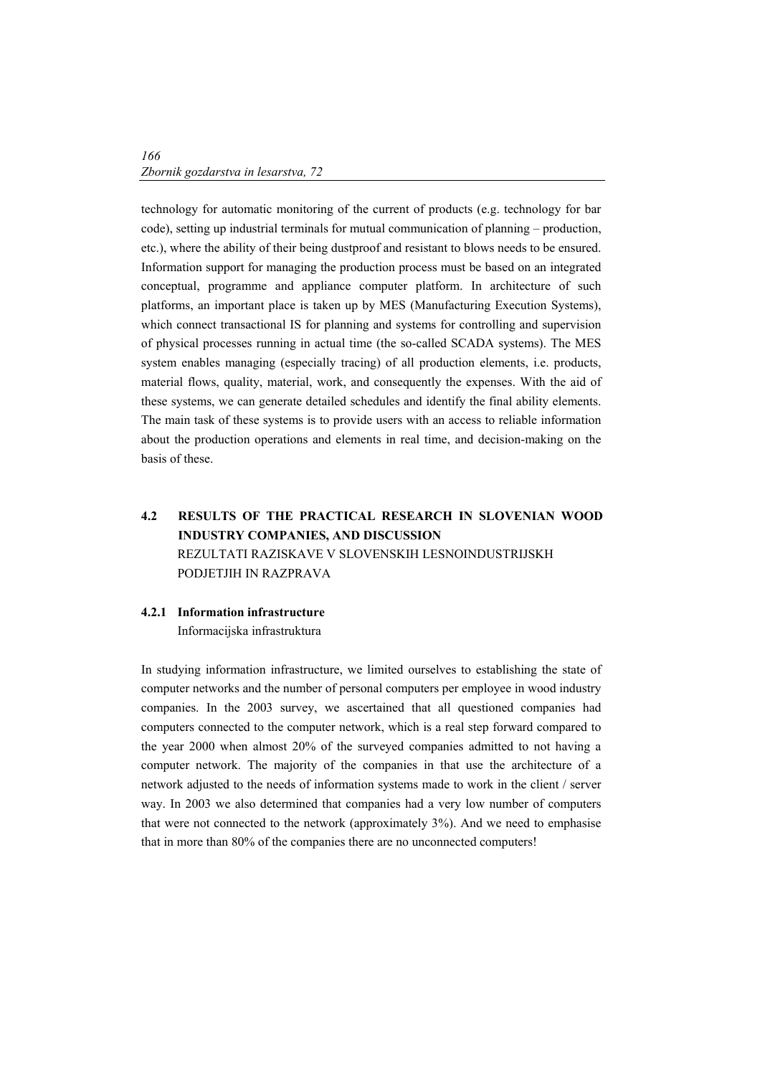technology for automatic monitoring of the current of products (e.g. technology for bar code), setting up industrial terminals for mutual communication of planning – production, etc.), where the ability of their being dustproof and resistant to blows needs to be ensured. Information support for managing the production process must be based on an integrated conceptual, programme and appliance computer platform. In architecture of such platforms, an important place is taken up by MES (Manufacturing Execution Systems), which connect transactional IS for planning and systems for controlling and supervision of physical processes running in actual time (the so-called SCADA systems). The MES system enables managing (especially tracing) of all production elements, i.e. products, material flows, quality, material, work, and consequently the expenses. With the aid of these systems, we can generate detailed schedules and identify the final ability elements. The main task of these systems is to provide users with an access to reliable information about the production operations and elements in real time, and decision-making on the basis of these.

# **4.2 RESULTS OF THE PRACTICAL RESEARCH IN SLOVENIAN WOOD INDUSTRY COMPANIES, AND DISCUSSION**  REZULTATI RAZISKAVE V SLOVENSKIH LESNOINDUSTRIJSKH PODJETJIH IN RAZPRAVA

### **4.2.1 Information infrastructure**

Informacijska infrastruktura

In studying information infrastructure, we limited ourselves to establishing the state of computer networks and the number of personal computers per employee in wood industry companies. In the 2003 survey, we ascertained that all questioned companies had computers connected to the computer network, which is a real step forward compared to the year 2000 when almost 20% of the surveyed companies admitted to not having a computer network. The majority of the companies in that use the architecture of a network adjusted to the needs of information systems made to work in the client / server way. In 2003 we also determined that companies had a very low number of computers that were not connected to the network (approximately 3%). And we need to emphasise that in more than 80% of the companies there are no unconnected computers!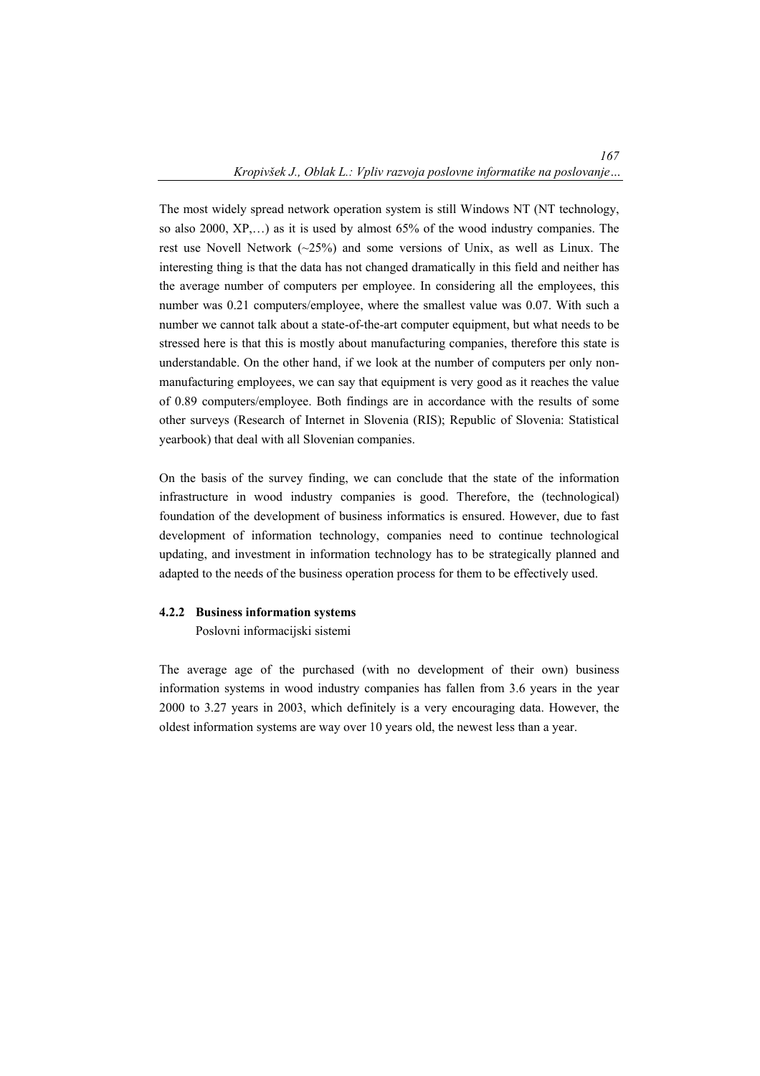The most widely spread network operation system is still Windows NT (NT technology, so also 2000, XP,…) as it is used by almost 65% of the wood industry companies. The rest use Novell Network  $(\sim 25\%)$  and some versions of Unix, as well as Linux. The interesting thing is that the data has not changed dramatically in this field and neither has the average number of computers per employee. In considering all the employees, this number was 0.21 computers/employee, where the smallest value was 0.07. With such a number we cannot talk about a state-of-the-art computer equipment, but what needs to be stressed here is that this is mostly about manufacturing companies, therefore this state is understandable. On the other hand, if we look at the number of computers per only nonmanufacturing employees, we can say that equipment is very good as it reaches the value of 0.89 computers/employee. Both findings are in accordance with the results of some other surveys (Research of Internet in Slovenia (RIS); Republic of Slovenia: Statistical yearbook) that deal with all Slovenian companies.

On the basis of the survey finding, we can conclude that the state of the information infrastructure in wood industry companies is good. Therefore, the (technological) foundation of the development of business informatics is ensured. However, due to fast development of information technology, companies need to continue technological updating, and investment in information technology has to be strategically planned and adapted to the needs of the business operation process for them to be effectively used.

#### **4.2.2 Business information systems**

Poslovni informacijski sistemi

The average age of the purchased (with no development of their own) business information systems in wood industry companies has fallen from 3.6 years in the year 2000 to 3.27 years in 2003, which definitely is a very encouraging data. However, the oldest information systems are way over 10 years old, the newest less than a year.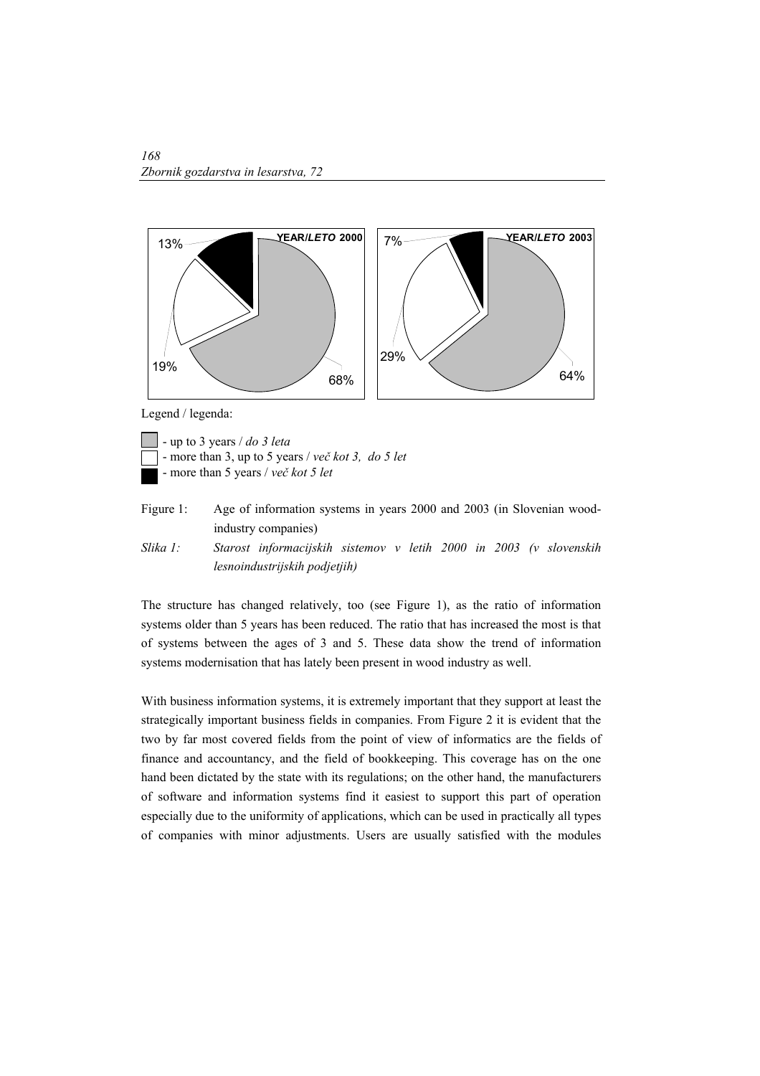

Legend / legenda:

- up to 3 years / *do 3 leta* - more than 3, up to 5 years / *več kot 3, do 5 let* - more than 5 years / *več kot 5 let*

- Figure 1: Age of information systems in years 2000 and 2003 (in Slovenian woodindustry companies)
- *Slika 1: Starost informacijskih sistemov v letih 2000 in 2003 (v slovenskih lesnoindustrijskih podjetjih)*

The structure has changed relatively, too (see Figure 1), as the ratio of information systems older than 5 years has been reduced. The ratio that has increased the most is that of systems between the ages of 3 and 5. These data show the trend of information systems modernisation that has lately been present in wood industry as well.

With business information systems, it is extremely important that they support at least the strategically important business fields in companies. From Figure 2 it is evident that the two by far most covered fields from the point of view of informatics are the fields of finance and accountancy, and the field of bookkeeping. This coverage has on the one hand been dictated by the state with its regulations; on the other hand, the manufacturers of software and information systems find it easiest to support this part of operation especially due to the uniformity of applications, which can be used in practically all types of companies with minor adjustments. Users are usually satisfied with the modules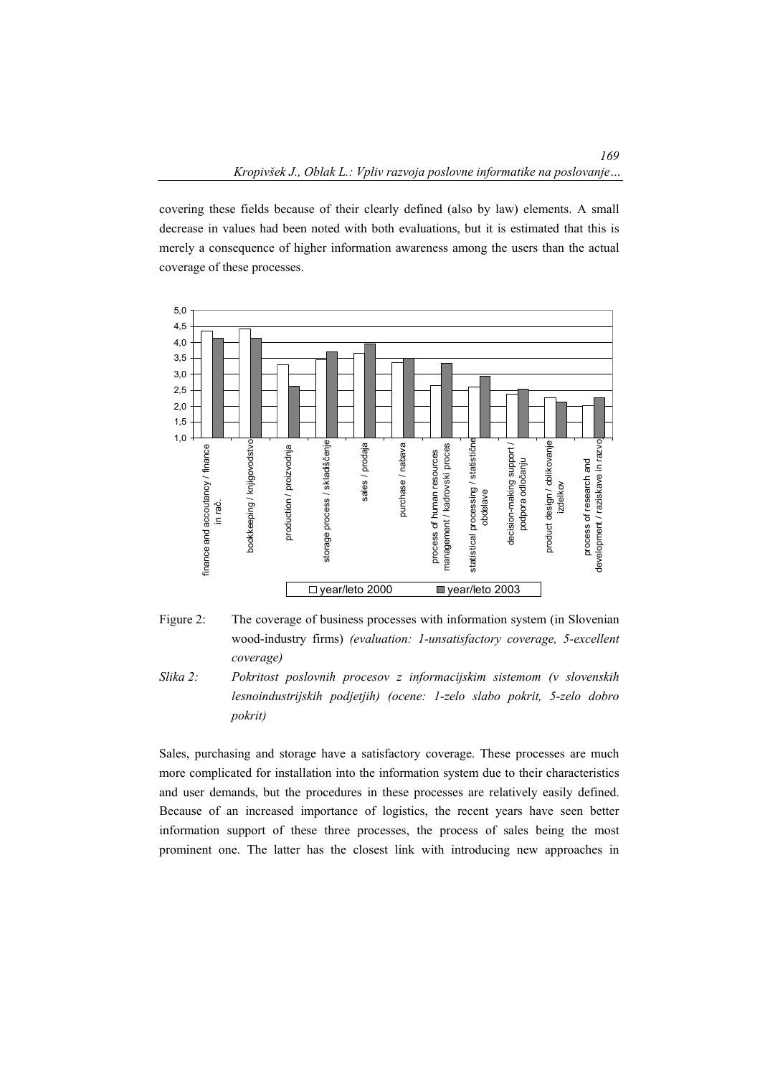covering these fields because of their clearly defined (also by law) elements. A small decrease in values had been noted with both evaluations, but it is estimated that this is merely a consequence of higher information awareness among the users than the actual coverage of these processes.





*Slika 2: Pokritost poslovnih procesov z informacijskim sistemom (v slovenskih lesnoindustrijskih podjetjih) (ocene: 1-zelo slabo pokrit, 5-zelo dobro pokrit)* 

Sales, purchasing and storage have a satisfactory coverage. These processes are much more complicated for installation into the information system due to their characteristics and user demands, but the procedures in these processes are relatively easily defined. Because of an increased importance of logistics, the recent years have seen better information support of these three processes, the process of sales being the most prominent one. The latter has the closest link with introducing new approaches in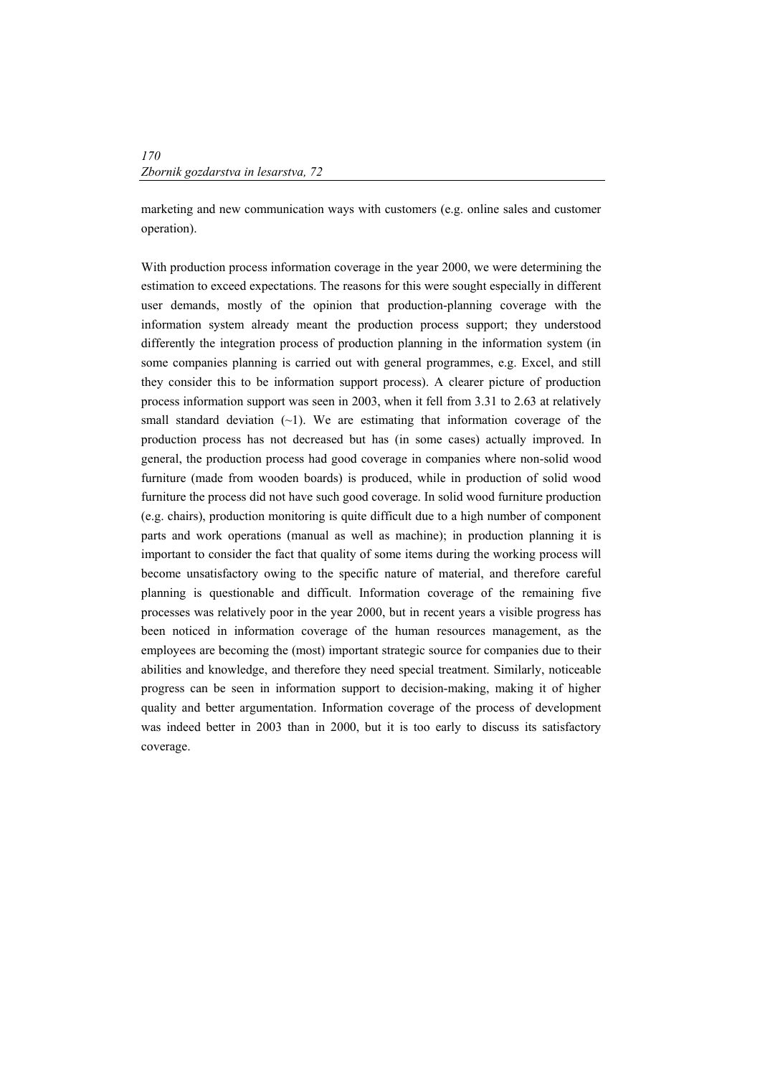marketing and new communication ways with customers (e.g. online sales and customer operation).

With production process information coverage in the year 2000, we were determining the estimation to exceed expectations. The reasons for this were sought especially in different user demands, mostly of the opinion that production-planning coverage with the information system already meant the production process support; they understood differently the integration process of production planning in the information system (in some companies planning is carried out with general programmes, e.g. Excel, and still they consider this to be information support process). A clearer picture of production process information support was seen in 2003, when it fell from 3.31 to 2.63 at relatively small standard deviation  $(-1)$ . We are estimating that information coverage of the production process has not decreased but has (in some cases) actually improved. In general, the production process had good coverage in companies where non-solid wood furniture (made from wooden boards) is produced, while in production of solid wood furniture the process did not have such good coverage. In solid wood furniture production (e.g. chairs), production monitoring is quite difficult due to a high number of component parts and work operations (manual as well as machine); in production planning it is important to consider the fact that quality of some items during the working process will become unsatisfactory owing to the specific nature of material, and therefore careful planning is questionable and difficult. Information coverage of the remaining five processes was relatively poor in the year 2000, but in recent years a visible progress has been noticed in information coverage of the human resources management, as the employees are becoming the (most) important strategic source for companies due to their abilities and knowledge, and therefore they need special treatment. Similarly, noticeable progress can be seen in information support to decision-making, making it of higher quality and better argumentation. Information coverage of the process of development was indeed better in 2003 than in 2000, but it is too early to discuss its satisfactory coverage.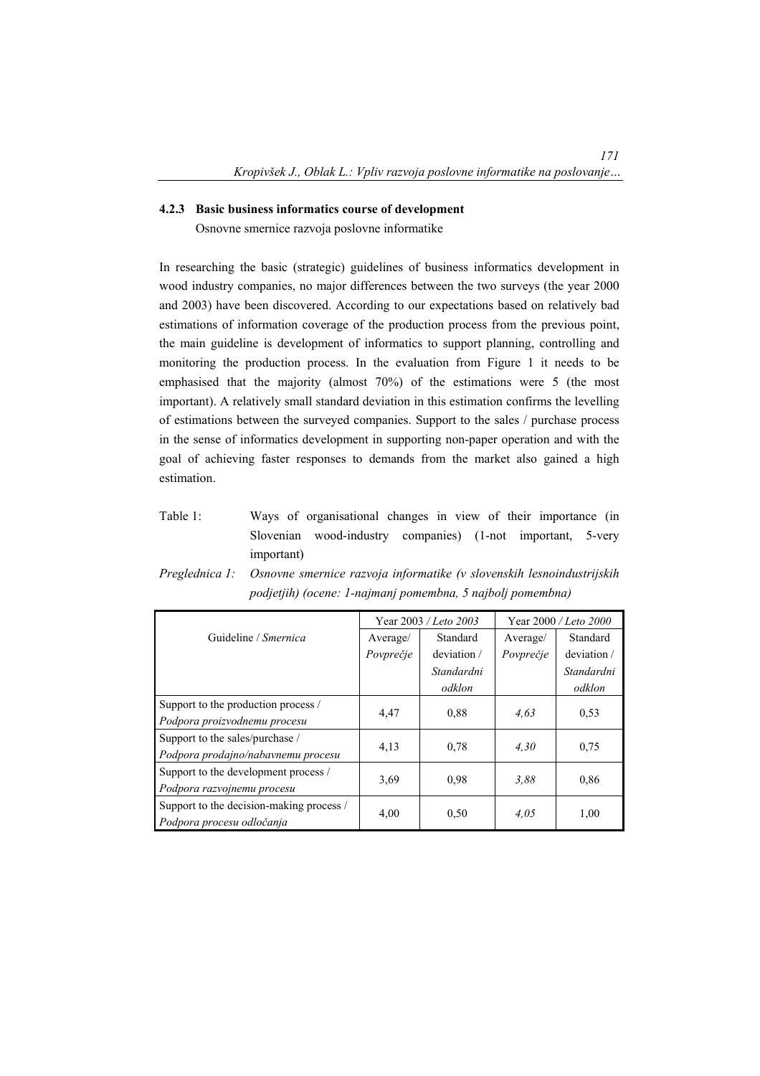### **4.2.3 Basic business informatics course of development**

Osnovne smernice razvoja poslovne informatike

In researching the basic (strategic) guidelines of business informatics development in wood industry companies, no major differences between the two surveys (the year 2000 and 2003) have been discovered. According to our expectations based on relatively bad estimations of information coverage of the production process from the previous point, the main guideline is development of informatics to support planning, controlling and monitoring the production process. In the evaluation from Figure 1 it needs to be emphasised that the majority (almost 70%) of the estimations were 5 (the most important). A relatively small standard deviation in this estimation confirms the levelling of estimations between the surveyed companies. Support to the sales / purchase process in the sense of informatics development in supporting non-paper operation and with the goal of achieving faster responses to demands from the market also gained a high estimation.

Table 1: Ways of organisational changes in view of their importance (in Slovenian wood-industry companies) (1-not important, 5-very important)

|                                          | Year 2003 / Leto 2003 |             | Year 2000 / Leto 2000 |             |
|------------------------------------------|-----------------------|-------------|-----------------------|-------------|
| Guideline / Smernica                     | Average/              | Standard    | Average/              | Standard    |
|                                          | Povprečje             | deviation / | Povprečje             | deviation / |
|                                          |                       | Standardni  |                       | Standardni  |
|                                          |                       | odklon      |                       | odklon      |
| Support to the production process /      | 4,47                  | 0.88        | 4.63                  | 0.53        |
| Podpora proizvodnemu procesu             |                       |             |                       |             |
| Support to the sales/purchase /          |                       | 0.78        | 4.30                  | 0.75        |
| Podpora prodajno/nabavnemu procesu       | 4,13                  |             |                       |             |
| Support to the development process /     | 3.69                  | 0.98        | 3.88                  | 0.86        |
| Podpora razvojnemu procesu               |                       |             |                       |             |
| Support to the decision-making process / | 4,00                  |             | 4.05                  | 1,00        |
| Podpora procesu odločanja                |                       | 0.50        |                       |             |

*Preglednica 1: Osnovne smernice razvoja informatike (v slovenskih lesnoindustrijskih podjetjih) (ocene: 1-najmanj pomembna, 5 najbolj pomembna)*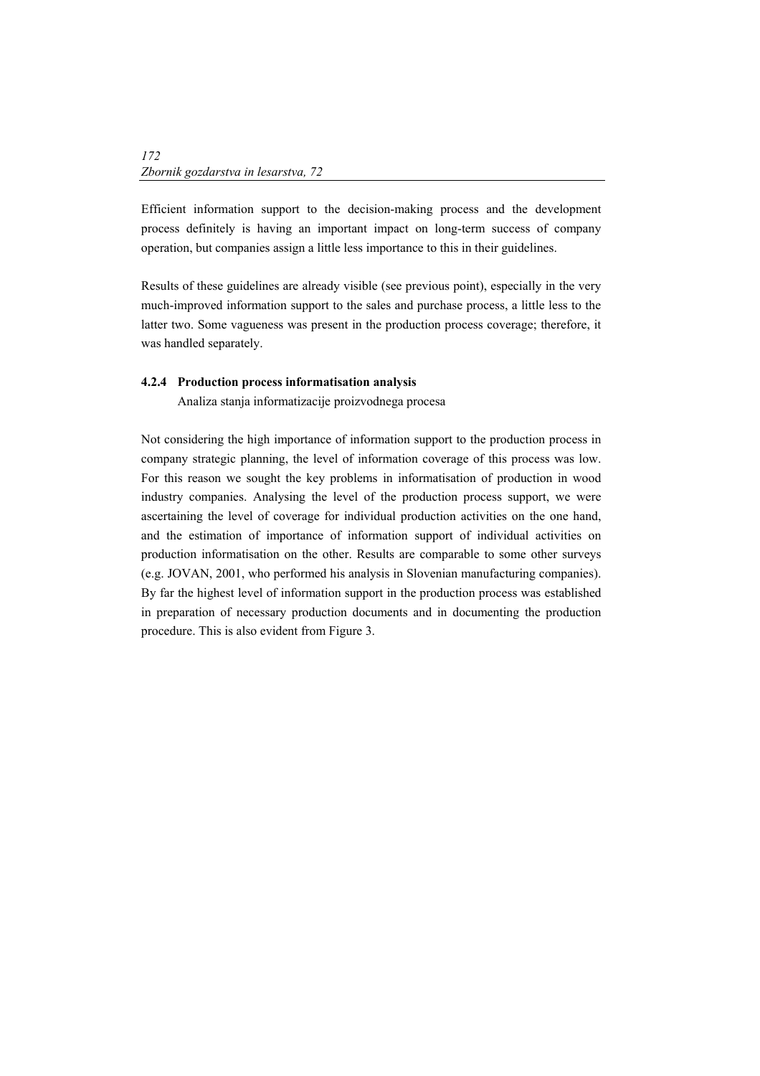Efficient information support to the decision-making process and the development process definitely is having an important impact on long-term success of company operation, but companies assign a little less importance to this in their guidelines.

Results of these guidelines are already visible (see previous point), especially in the very much-improved information support to the sales and purchase process, a little less to the latter two. Some vagueness was present in the production process coverage; therefore, it was handled separately.

### **4.2.4 Production process informatisation analysis**

Analiza stanja informatizacije proizvodnega procesa

Not considering the high importance of information support to the production process in company strategic planning, the level of information coverage of this process was low. For this reason we sought the key problems in informatisation of production in wood industry companies. Analysing the level of the production process support, we were ascertaining the level of coverage for individual production activities on the one hand, and the estimation of importance of information support of individual activities on production informatisation on the other. Results are comparable to some other surveys (e.g. JOVAN, 2001, who performed his analysis in Slovenian manufacturing companies). By far the highest level of information support in the production process was established in preparation of necessary production documents and in documenting the production procedure. This is also evident from Figure 3.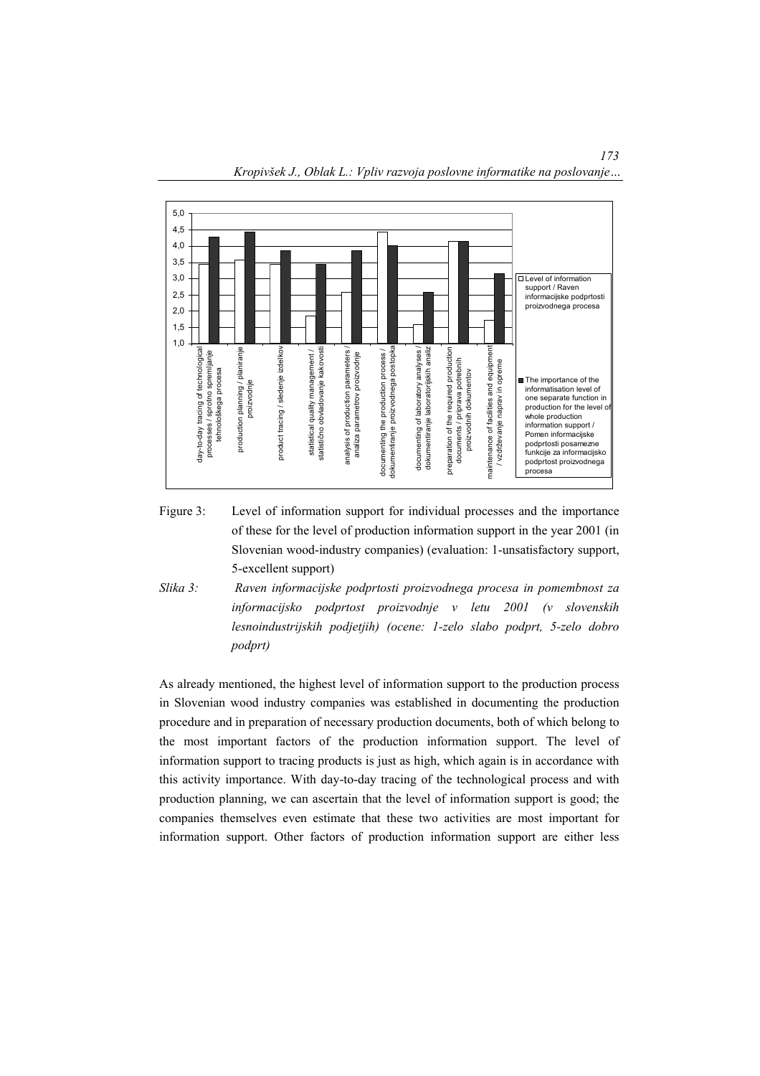



- Figure 3: Level of information support for individual processes and the importance of these for the level of production information support in the year 2001 (in Slovenian wood-industry companies) (evaluation: 1-unsatisfactory support, 5-excellent support)
- *Slika 3: Raven informacijske podprtosti proizvodnega procesa in pomembnost za informacijsko podprtost proizvodnje v letu 2001 (v slovenskih lesnoindustrijskih podjetjih) (ocene: 1-zelo slabo podprt, 5-zelo dobro podprt)*

As already mentioned, the highest level of information support to the production process in Slovenian wood industry companies was established in documenting the production procedure and in preparation of necessary production documents, both of which belong to the most important factors of the production information support. The level of information support to tracing products is just as high, which again is in accordance with this activity importance. With day-to-day tracing of the technological process and with production planning, we can ascertain that the level of information support is good; the companies themselves even estimate that these two activities are most important for information support. Other factors of production information support are either less

*173*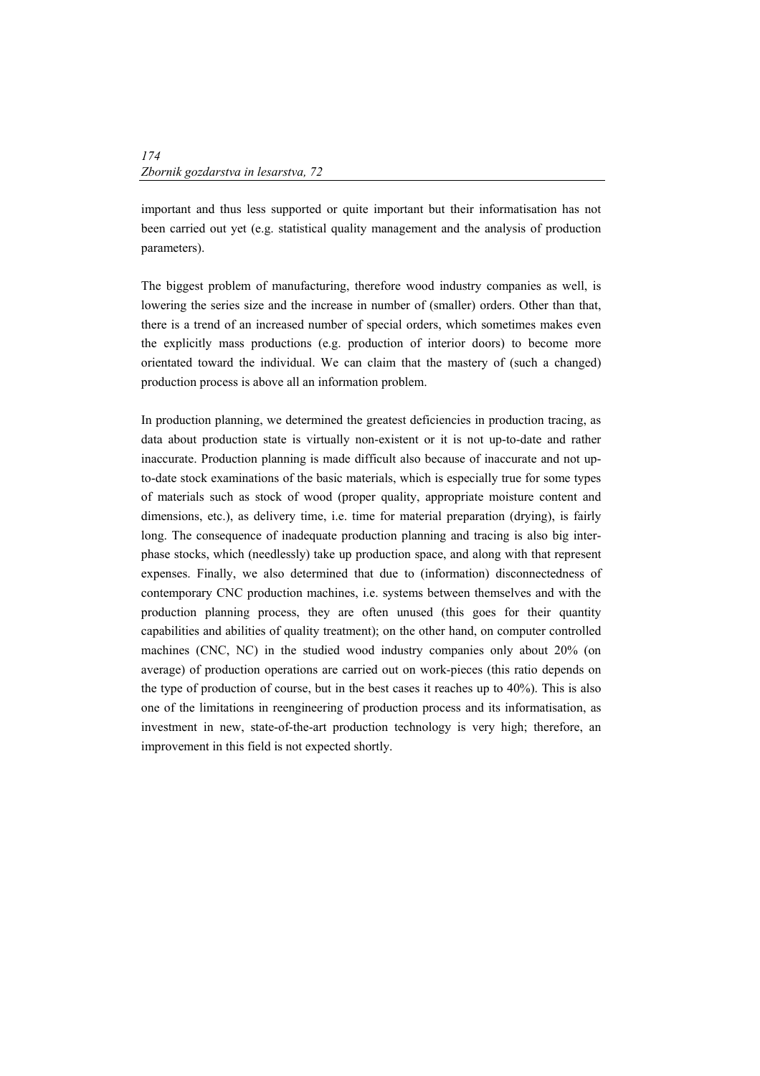important and thus less supported or quite important but their informatisation has not been carried out yet (e.g. statistical quality management and the analysis of production parameters).

The biggest problem of manufacturing, therefore wood industry companies as well, is lowering the series size and the increase in number of (smaller) orders. Other than that, there is a trend of an increased number of special orders, which sometimes makes even the explicitly mass productions (e.g. production of interior doors) to become more orientated toward the individual. We can claim that the mastery of (such a changed) production process is above all an information problem.

In production planning, we determined the greatest deficiencies in production tracing, as data about production state is virtually non-existent or it is not up-to-date and rather inaccurate. Production planning is made difficult also because of inaccurate and not upto-date stock examinations of the basic materials, which is especially true for some types of materials such as stock of wood (proper quality, appropriate moisture content and dimensions, etc.), as delivery time, i.e. time for material preparation (drying), is fairly long. The consequence of inadequate production planning and tracing is also big interphase stocks, which (needlessly) take up production space, and along with that represent expenses. Finally, we also determined that due to (information) disconnectedness of contemporary CNC production machines, i.e. systems between themselves and with the production planning process, they are often unused (this goes for their quantity capabilities and abilities of quality treatment); on the other hand, on computer controlled machines (CNC, NC) in the studied wood industry companies only about 20% (on average) of production operations are carried out on work-pieces (this ratio depends on the type of production of course, but in the best cases it reaches up to 40%). This is also one of the limitations in reengineering of production process and its informatisation, as investment in new, state-of-the-art production technology is very high; therefore, an improvement in this field is not expected shortly.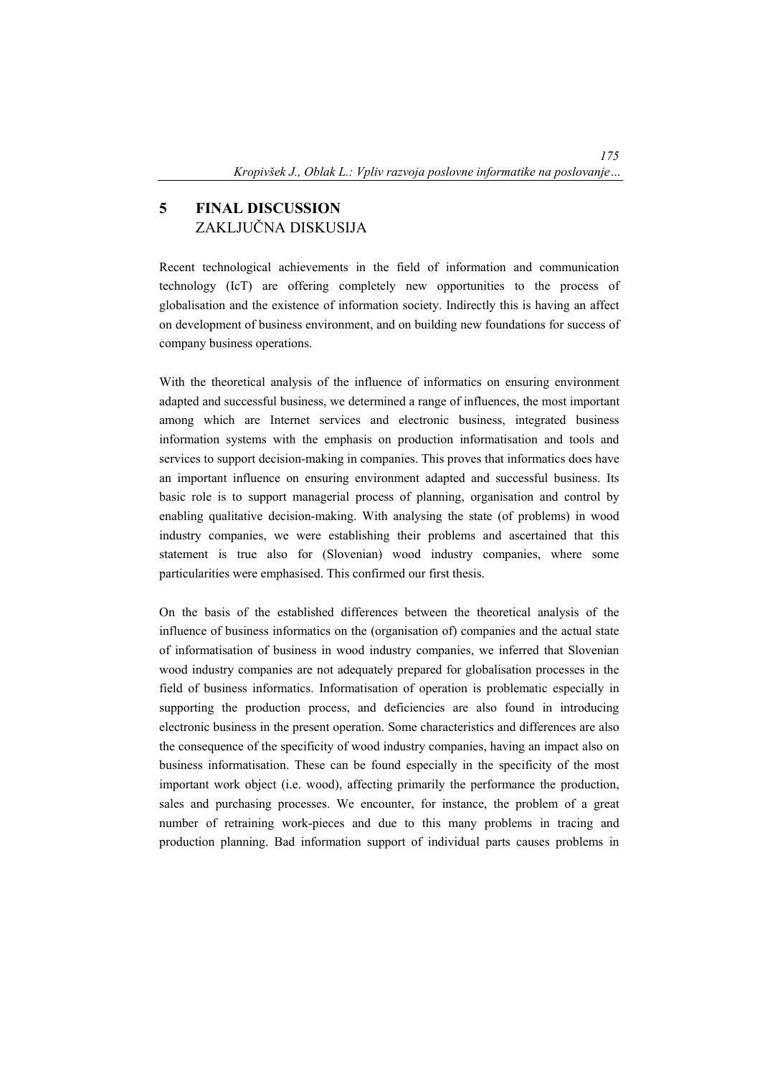# **5 FINAL DISCUSSION**  ZAKLJUČNA DISKUSIJA

Recent technological achievements in the field of information and communication technology (IcT) are offering completely new opportunities to the process of globalisation and the existence of information society. Indirectly this is having an affect on development of business environment, and on building new foundations for success of company business operations.

With the theoretical analysis of the influence of informatics on ensuring environment adapted and successful business, we determined a range of influences, the most important among which are Internet services and electronic business, integrated business information systems with the emphasis on production informatisation and tools and services to support decision-making in companies. This proves that informatics does have an important influence on ensuring environment adapted and successful business. Its basic role is to support managerial process of planning, organisation and control by enabling qualitative decision-making. With analysing the state (of problems) in wood industry companies, we were establishing their problems and ascertained that this statement is true also for (Slovenian) wood industry companies, where some particularities were emphasised. This confirmed our first thesis.

On the basis of the established differences between the theoretical analysis of the influence of business informatics on the (organisation of) companies and the actual state of informatisation of business in wood industry companies, we inferred that Slovenian wood industry companies are not adequately prepared for globalisation processes in the field of business informatics. Informatisation of operation is problematic especially in supporting the production process, and deficiencies are also found in introducing electronic business in the present operation. Some characteristics and differences are also the consequence of the specificity of wood industry companies, having an impact also on business informatisation. These can be found especially in the specificity of the most important work object (i.e. wood), affecting primarily the performance the production, sales and purchasing processes. We encounter, for instance, the problem of a great number of retraining work-pieces and due to this many problems in tracing and production planning. Bad information support of individual parts causes problems in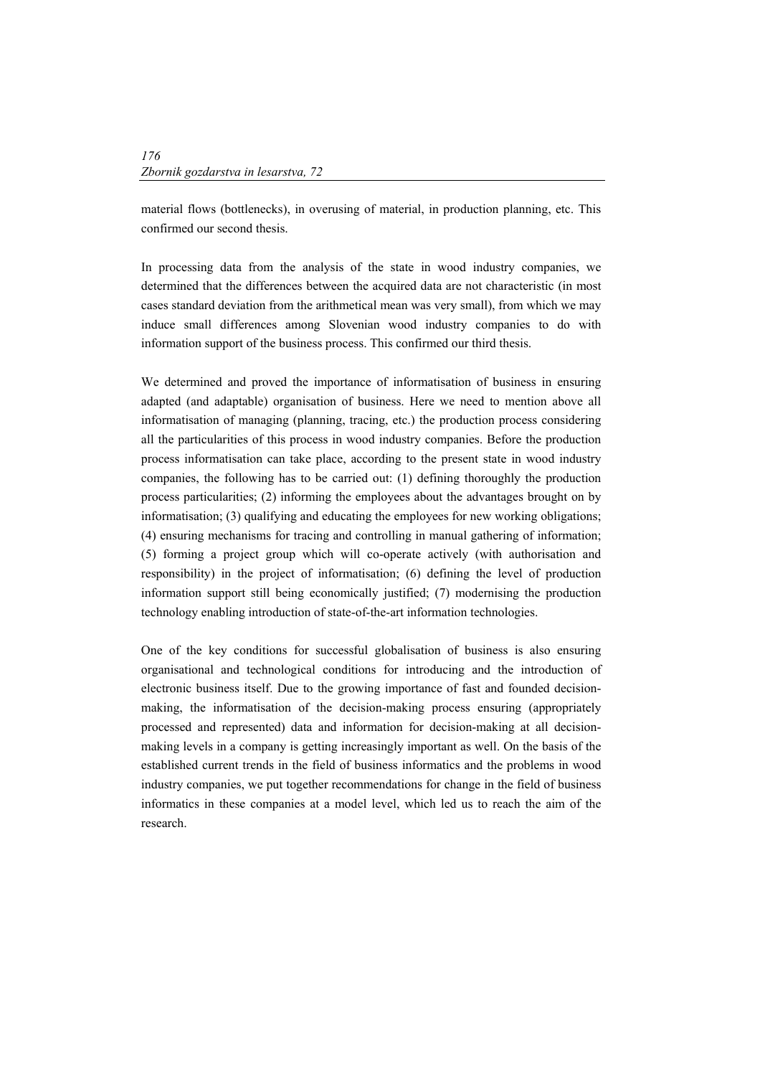material flows (bottlenecks), in overusing of material, in production planning, etc. This confirmed our second thesis.

In processing data from the analysis of the state in wood industry companies, we determined that the differences between the acquired data are not characteristic (in most cases standard deviation from the arithmetical mean was very small), from which we may induce small differences among Slovenian wood industry companies to do with information support of the business process. This confirmed our third thesis.

We determined and proved the importance of informatisation of business in ensuring adapted (and adaptable) organisation of business. Here we need to mention above all informatisation of managing (planning, tracing, etc.) the production process considering all the particularities of this process in wood industry companies. Before the production process informatisation can take place, according to the present state in wood industry companies, the following has to be carried out: (1) defining thoroughly the production process particularities; (2) informing the employees about the advantages brought on by informatisation; (3) qualifying and educating the employees for new working obligations; (4) ensuring mechanisms for tracing and controlling in manual gathering of information; (5) forming a project group which will co-operate actively (with authorisation and responsibility) in the project of informatisation; (6) defining the level of production information support still being economically justified; (7) modernising the production technology enabling introduction of state-of-the-art information technologies.

One of the key conditions for successful globalisation of business is also ensuring organisational and technological conditions for introducing and the introduction of electronic business itself. Due to the growing importance of fast and founded decisionmaking, the informatisation of the decision-making process ensuring (appropriately processed and represented) data and information for decision-making at all decisionmaking levels in a company is getting increasingly important as well. On the basis of the established current trends in the field of business informatics and the problems in wood industry companies, we put together recommendations for change in the field of business informatics in these companies at a model level, which led us to reach the aim of the research.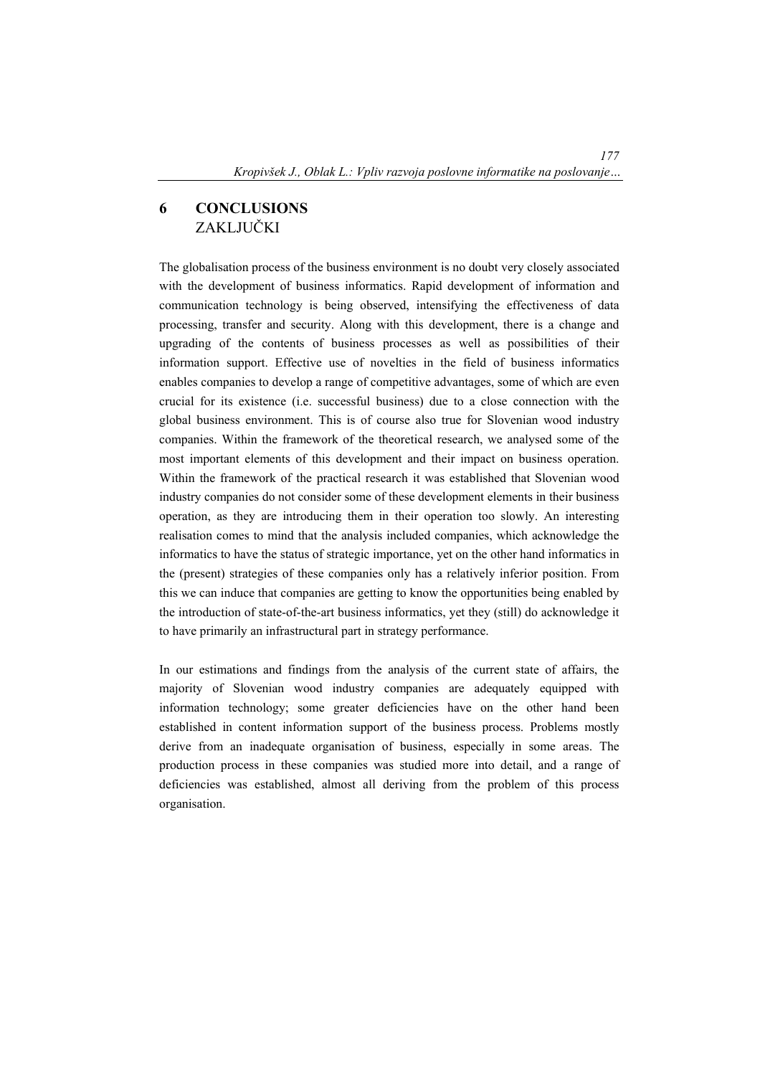# **6 CONCLUSIONS**  ZAKLJUČKI

The globalisation process of the business environment is no doubt very closely associated with the development of business informatics. Rapid development of information and communication technology is being observed, intensifying the effectiveness of data processing, transfer and security. Along with this development, there is a change and upgrading of the contents of business processes as well as possibilities of their information support. Effective use of novelties in the field of business informatics enables companies to develop a range of competitive advantages, some of which are even crucial for its existence (i.e. successful business) due to a close connection with the global business environment. This is of course also true for Slovenian wood industry companies. Within the framework of the theoretical research, we analysed some of the most important elements of this development and their impact on business operation. Within the framework of the practical research it was established that Slovenian wood industry companies do not consider some of these development elements in their business operation, as they are introducing them in their operation too slowly. An interesting realisation comes to mind that the analysis included companies, which acknowledge the informatics to have the status of strategic importance, yet on the other hand informatics in the (present) strategies of these companies only has a relatively inferior position. From this we can induce that companies are getting to know the opportunities being enabled by the introduction of state-of-the-art business informatics, yet they (still) do acknowledge it to have primarily an infrastructural part in strategy performance.

In our estimations and findings from the analysis of the current state of affairs, the majority of Slovenian wood industry companies are adequately equipped with information technology; some greater deficiencies have on the other hand been established in content information support of the business process. Problems mostly derive from an inadequate organisation of business, especially in some areas. The production process in these companies was studied more into detail, and a range of deficiencies was established, almost all deriving from the problem of this process organisation.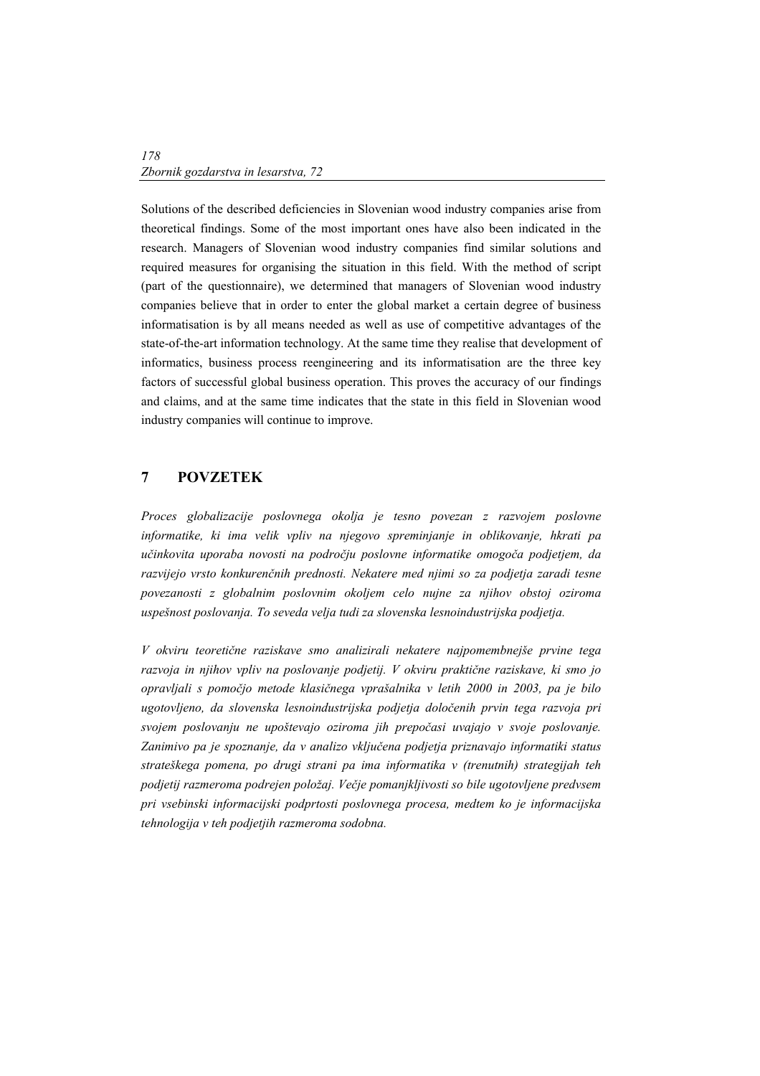Solutions of the described deficiencies in Slovenian wood industry companies arise from theoretical findings. Some of the most important ones have also been indicated in the research. Managers of Slovenian wood industry companies find similar solutions and required measures for organising the situation in this field. With the method of script (part of the questionnaire), we determined that managers of Slovenian wood industry companies believe that in order to enter the global market a certain degree of business informatisation is by all means needed as well as use of competitive advantages of the state-of-the-art information technology. At the same time they realise that development of informatics, business process reengineering and its informatisation are the three key factors of successful global business operation. This proves the accuracy of our findings and claims, and at the same time indicates that the state in this field in Slovenian wood industry companies will continue to improve.

### **7 POVZETEK**

*Proces globalizacije poslovnega okolja je tesno povezan z razvojem poslovne informatike, ki ima velik vpliv na njegovo spreminjanje in oblikovanje, hkrati pa učinkovita uporaba novosti na področju poslovne informatike omogoča podjetjem, da razvijejo vrsto konkurenčnih prednosti. Nekatere med njimi so za podjetja zaradi tesne povezanosti z globalnim poslovnim okoljem celo nujne za njihov obstoj oziroma uspešnost poslovanja. To seveda velja tudi za slovenska lesnoindustrijska podjetja.* 

*V okviru teoretične raziskave smo analizirali nekatere najpomembnejše prvine tega razvoja in njihov vpliv na poslovanje podjetij. V okviru praktične raziskave, ki smo jo opravljali s pomočjo metode klasičnega vprašalnika v letih 2000 in 2003, pa je bilo ugotovljeno, da slovenska lesnoindustrijska podjetja določenih prvin tega razvoja pri svojem poslovanju ne upoštevajo oziroma jih prepočasi uvajajo v svoje poslovanje. Zanimivo pa je spoznanje, da v analizo vključena podjetja priznavajo informatiki status strateškega pomena, po drugi strani pa ima informatika v (trenutnih) strategijah teh podjetij razmeroma podrejen položaj. Večje pomanjkljivosti so bile ugotovljene predvsem pri vsebinski informacijski podprtosti poslovnega procesa, medtem ko je informacijska tehnologija v teh podjetjih razmeroma sodobna.*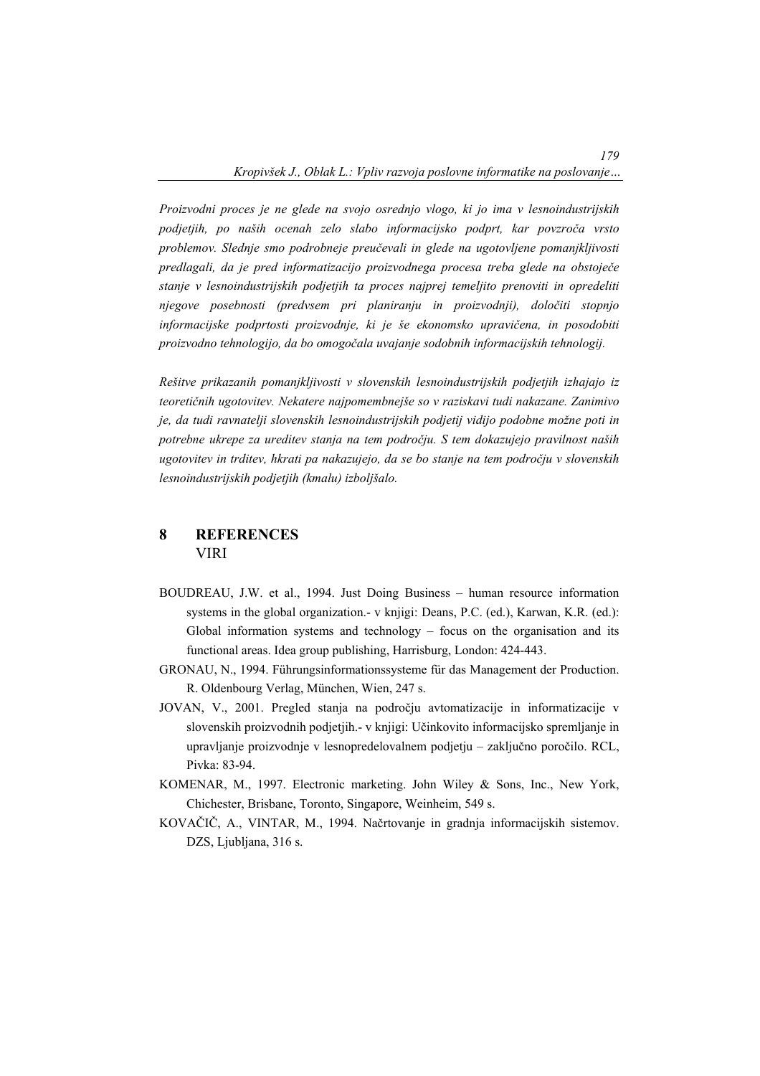*Proizvodni proces je ne glede na svojo osrednjo vlogo, ki jo ima v lesnoindustrijskih podjetjih, po naših ocenah zelo slabo informacijsko podprt, kar povzroča vrsto problemov. Slednje smo podrobneje preučevali in glede na ugotovljene pomanjkljivosti predlagali, da je pred informatizacijo proizvodnega procesa treba glede na obstoječe stanje v lesnoindustrijskih podjetjih ta proces najprej temeljito prenoviti in opredeliti njegove posebnosti (predvsem pri planiranju in proizvodnji), določiti stopnjo informacijske podprtosti proizvodnje, ki je še ekonomsko upravičena, in posodobiti proizvodno tehnologijo, da bo omogočala uvajanje sodobnih informacijskih tehnologij.* 

*Rešitve prikazanih pomanjkljivosti v slovenskih lesnoindustrijskih podjetjih izhajajo iz teoretičnih ugotovitev. Nekatere najpomembnejše so v raziskavi tudi nakazane. Zanimivo je, da tudi ravnatelji slovenskih lesnoindustrijskih podjetij vidijo podobne možne poti in potrebne ukrepe za ureditev stanja na tem področju. S tem dokazujejo pravilnost naših ugotovitev in trditev, hkrati pa nakazujejo, da se bo stanje na tem področju v slovenskih lesnoindustrijskih podjetjih (kmalu) izboljšalo.* 

### **8 REFERENCES**  VIRI

- BOUDREAU, J.W. et al., 1994. Just Doing Business human resource information systems in the global organization.- v knjigi: Deans, P.C. (ed.), Karwan, K.R. (ed.): Global information systems and technology – focus on the organisation and its functional areas. Idea group publishing, Harrisburg, London: 424-443.
- GRONAU, N., 1994. Führungsinformationssysteme für das Management der Production. R. Oldenbourg Verlag, München, Wien, 247 s.
- JOVAN, V., 2001. Pregled stanja na področju avtomatizacije in informatizacije v slovenskih proizvodnih podjetjih.- v knjigi: Učinkovito informacijsko spremljanje in upravljanje proizvodnje v lesnopredelovalnem podjetju – zaključno poročilo. RCL, Pivka: 83-94.
- KOMENAR, M., 1997. Electronic marketing. John Wiley & Sons, Inc., New York, Chichester, Brisbane, Toronto, Singapore, Weinheim, 549 s.
- KOVAČIČ, A., VINTAR, M., 1994. Načrtovanje in gradnja informacijskih sistemov. DZS, Ljubljana, 316 s.